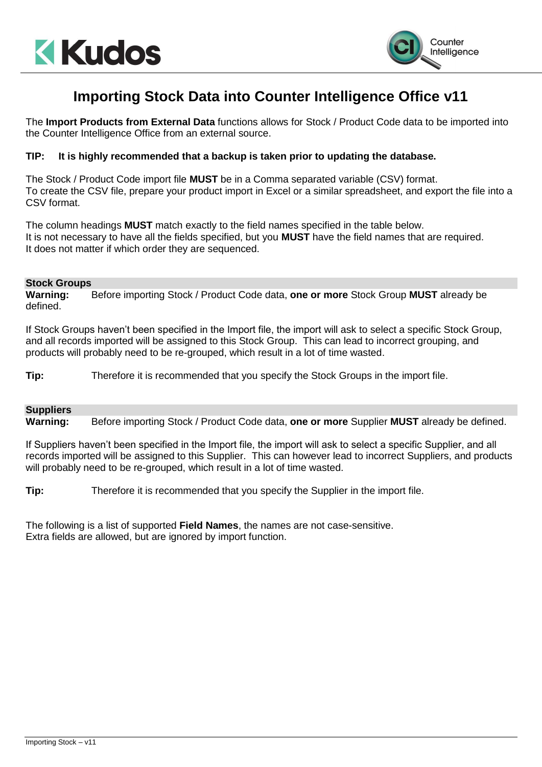



# **Importing Stock Data into Counter Intelligence Office v11**

The **Import Products from External Data** functions allows for Stock / Product Code data to be imported into the Counter Intelligence Office from an external source.

### **TIP: It is highly recommended that a backup is taken prior to updating the database.**

The Stock / Product Code import file **MUST** be in a Comma separated variable (CSV) format. To create the CSV file, prepare your product import in Excel or a similar spreadsheet, and export the file into a CSV format.

The column headings **MUST** match exactly to the field names specified in the table below. It is not necessary to have all the fields specified, but you **MUST** have the field names that are required. It does not matter if which order they are sequenced.

#### **Stock Groups**

**Warning:** Before importing Stock / Product Code data, **one or more** Stock Group **MUST** already be defined.

If Stock Groups haven't been specified in the Import file, the import will ask to select a specific Stock Group, and all records imported will be assigned to this Stock Group. This can lead to incorrect grouping, and products will probably need to be re-grouped, which result in a lot of time wasted.

**Tip:** Therefore it is recommended that you specify the Stock Groups in the import file.

## **Suppliers**

**Warning:** Before importing Stock / Product Code data, **one or more** Supplier **MUST** already be defined.

If Suppliers haven't been specified in the Import file, the import will ask to select a specific Supplier, and all records imported will be assigned to this Supplier. This can however lead to incorrect Suppliers, and products will probably need to be re-grouped, which result in a lot of time wasted.

**Tip:** Therefore it is recommended that you specify the Supplier in the import file.

The following is a list of supported **Field Names**, the names are not case-sensitive. Extra fields are allowed, but are ignored by import function.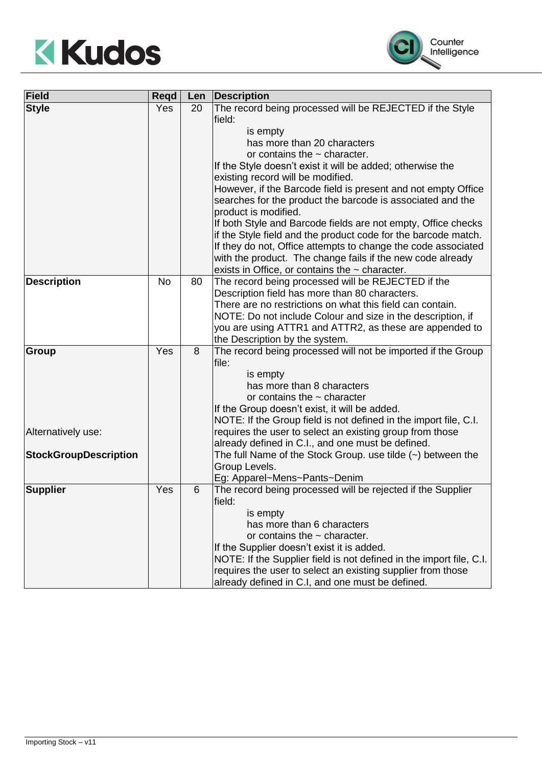



| <b>Field</b>                 | <b>Regd</b> | Len | <b>Description</b>                                                  |
|------------------------------|-------------|-----|---------------------------------------------------------------------|
| <b>Style</b>                 | Yes         | 20  | The record being processed will be REJECTED if the Style            |
|                              |             |     | field:                                                              |
|                              |             |     | is empty                                                            |
|                              |             |     | has more than 20 characters                                         |
|                              |             |     | or contains the $\sim$ character.                                   |
|                              |             |     | If the Style doesn't exist it will be added; otherwise the          |
|                              |             |     | existing record will be modified.                                   |
|                              |             |     | However, if the Barcode field is present and not empty Office       |
|                              |             |     | searches for the product the barcode is associated and the          |
|                              |             |     | product is modified.                                                |
|                              |             |     | If both Style and Barcode fields are not empty, Office checks       |
|                              |             |     | if the Style field and the product code for the barcode match.      |
|                              |             |     | If they do not, Office attempts to change the code associated       |
|                              |             |     | with the product. The change fails if the new code already          |
|                              |             |     | exists in Office, or contains the $\sim$ character.                 |
| <b>Description</b>           | <b>No</b>   | 80  | The record being processed will be REJECTED if the                  |
|                              |             |     | Description field has more than 80 characters.                      |
|                              |             |     | There are no restrictions on what this field can contain.           |
|                              |             |     | NOTE: Do not include Colour and size in the description, if         |
|                              |             |     | you are using ATTR1 and ATTR2, as these are appended to             |
|                              |             |     | the Description by the system.                                      |
| Group                        | Yes         | 8   | The record being processed will not be imported if the Group        |
|                              |             |     | file:                                                               |
|                              |             |     | is empty                                                            |
|                              |             |     | has more than 8 characters                                          |
|                              |             |     | or contains the $\sim$ character                                    |
|                              |             |     | If the Group doesn't exist, it will be added.                       |
|                              |             |     | NOTE: If the Group field is not defined in the import file, C.I.    |
| Alternatively use:           |             |     | requires the user to select an existing group from those            |
|                              |             |     | already defined in C.I., and one must be defined.                   |
| <b>StockGroupDescription</b> |             |     | The full Name of the Stock Group. use tilde $(\sim)$ between the    |
|                              |             |     | Group Levels.                                                       |
|                              |             |     | Eg: Apparel~Mens~Pants~Denim                                        |
| <b>Supplier</b>              | Yes         | 6   | The record being processed will be rejected if the Supplier         |
|                              |             |     | field:                                                              |
|                              |             |     | is empty                                                            |
|                              |             |     | has more than 6 characters                                          |
|                              |             |     | or contains the $\sim$ character.                                   |
|                              |             |     | If the Supplier doesn't exist it is added.                          |
|                              |             |     | NOTE: If the Supplier field is not defined in the import file, C.I. |
|                              |             |     | requires the user to select an existing supplier from those         |
|                              |             |     | already defined in C.I, and one must be defined.                    |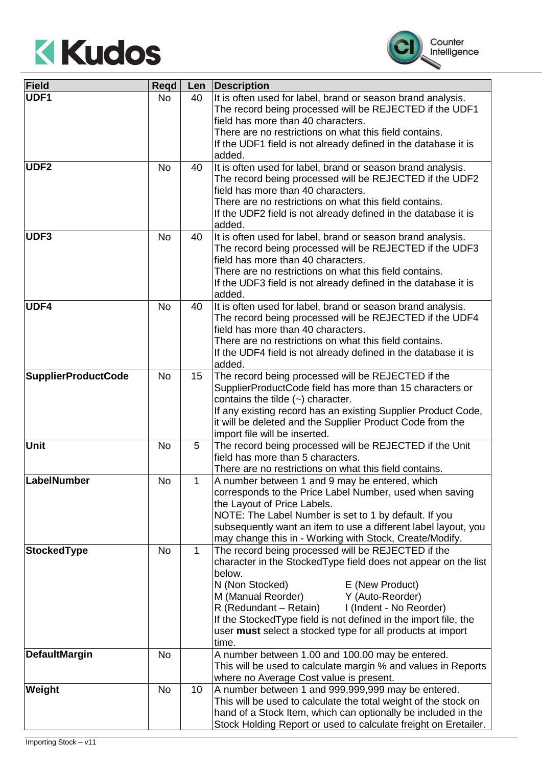



| Field                      | Regd      | Len          | Description                                                                                                                                                                                                                                                                                                                                                                                                    |
|----------------------------|-----------|--------------|----------------------------------------------------------------------------------------------------------------------------------------------------------------------------------------------------------------------------------------------------------------------------------------------------------------------------------------------------------------------------------------------------------------|
| UDF1                       | <b>No</b> | 40           | It is often used for label, brand or season brand analysis.<br>The record being processed will be REJECTED if the UDF1<br>field has more than 40 characters.<br>There are no restrictions on what this field contains.<br>If the UDF1 field is not already defined in the database it is<br>added.                                                                                                             |
| UDF <sub>2</sub>           | <b>No</b> | 40           | It is often used for label, brand or season brand analysis.<br>The record being processed will be REJECTED if the UDF2<br>field has more than 40 characters.<br>There are no restrictions on what this field contains.<br>If the UDF2 field is not already defined in the database it is<br>added.                                                                                                             |
| UDF3                       | <b>No</b> | 40           | It is often used for label, brand or season brand analysis.<br>The record being processed will be REJECTED if the UDF3<br>field has more than 40 characters.<br>There are no restrictions on what this field contains.<br>If the UDF3 field is not already defined in the database it is<br>added.                                                                                                             |
| UDF4                       | <b>No</b> | 40           | It is often used for label, brand or season brand analysis.<br>The record being processed will be REJECTED if the UDF4<br>field has more than 40 characters.<br>There are no restrictions on what this field contains.<br>If the UDF4 field is not already defined in the database it is<br>added.                                                                                                             |
| <b>SupplierProductCode</b> | <b>No</b> | 15           | The record being processed will be REJECTED if the<br>SupplierProductCode field has more than 15 characters or<br>contains the tilde $(\sim)$ character.<br>If any existing record has an existing Supplier Product Code,<br>it will be deleted and the Supplier Product Code from the<br>import file will be inserted.                                                                                        |
| <b>Unit</b>                | <b>No</b> | 5            | The record being processed will be REJECTED if the Unit<br>field has more than 5 characters.<br>There are no restrictions on what this field contains.                                                                                                                                                                                                                                                         |
| LabelNumber                | <b>No</b> | 1            | A number between 1 and 9 may be entered, which<br>corresponds to the Price Label Number, used when saving<br>the Layout of Price Labels.<br>NOTE: The Label Number is set to 1 by default. If you<br>subsequently want an item to use a different label layout, you<br>may change this in - Working with Stock, Create/Modify.                                                                                 |
| <b>StockedType</b>         | <b>No</b> | $\mathbf{1}$ | The record being processed will be REJECTED if the<br>character in the StockedType field does not appear on the list<br>below.<br>N (Non Stocked)<br>E (New Product)<br>M (Manual Reorder)<br>Y (Auto-Reorder)<br>R (Redundant – Retain)<br>I (Indent - No Reorder)<br>If the Stocked Type field is not defined in the import file, the<br>user must select a stocked type for all products at import<br>time. |
| <b>DefaultMargin</b>       | <b>No</b> |              | A number between 1.00 and 100.00 may be entered.<br>This will be used to calculate margin % and values in Reports<br>where no Average Cost value is present.                                                                                                                                                                                                                                                   |
| Weight                     | <b>No</b> | 10           | A number between 1 and 999,999,999 may be entered.<br>This will be used to calculate the total weight of the stock on<br>hand of a Stock Item, which can optionally be included in the<br>Stock Holding Report or used to calculate freight on Eretailer.                                                                                                                                                      |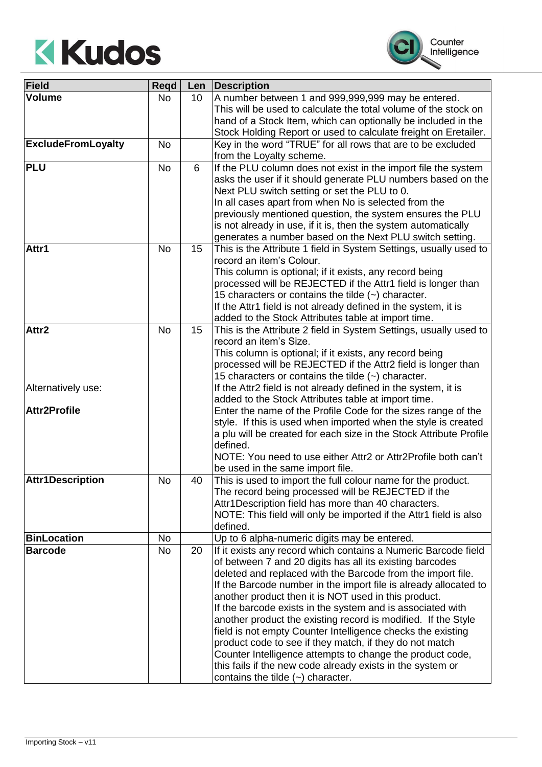



| Field                     | Regd      | Len | <b>Description</b>                                                                                                    |
|---------------------------|-----------|-----|-----------------------------------------------------------------------------------------------------------------------|
| <b>Volume</b>             | <b>No</b> | 10  | A number between 1 and 999,999,999 may be entered.                                                                    |
|                           |           |     | This will be used to calculate the total volume of the stock on                                                       |
|                           |           |     | hand of a Stock Item, which can optionally be included in the                                                         |
|                           |           |     | Stock Holding Report or used to calculate freight on Eretailer.                                                       |
| <b>ExcludeFromLoyalty</b> | <b>No</b> |     | Key in the word "TRUE" for all rows that are to be excluded                                                           |
|                           |           |     | from the Loyalty scheme.                                                                                              |
| <b>PLU</b>                | <b>No</b> | 6   | If the PLU column does not exist in the import file the system                                                        |
|                           |           |     | asks the user if it should generate PLU numbers based on the                                                          |
|                           |           |     | Next PLU switch setting or set the PLU to 0.                                                                          |
|                           |           |     | In all cases apart from when No is selected from the                                                                  |
|                           |           |     | previously mentioned question, the system ensures the PLU                                                             |
|                           |           |     | is not already in use, if it is, then the system automatically                                                        |
|                           |           |     | generates a number based on the Next PLU switch setting.                                                              |
| Attr1                     | <b>No</b> | 15  | This is the Attribute 1 field in System Settings, usually used to                                                     |
|                           |           |     | record an item's Colour.                                                                                              |
|                           |           |     | This column is optional; if it exists, any record being                                                               |
|                           |           |     | processed will be REJECTED if the Attr1 field is longer than                                                          |
|                           |           |     | 15 characters or contains the tilde $(\sim)$ character.                                                               |
|                           |           |     | If the Attr1 field is not already defined in the system, it is                                                        |
|                           |           |     | added to the Stock Attributes table at import time.                                                                   |
| Attr2                     | <b>No</b> | 15  | This is the Attribute 2 field in System Settings, usually used to                                                     |
|                           |           |     | record an item's Size.                                                                                                |
|                           |           |     | This column is optional; if it exists, any record being                                                               |
|                           |           |     | processed will be REJECTED if the Attr2 field is longer than                                                          |
|                           |           |     | 15 characters or contains the tilde $(\sim)$ character.                                                               |
| Alternatively use:        |           |     | If the Attr2 field is not already defined in the system, it is<br>added to the Stock Attributes table at import time. |
| <b>Attr2Profile</b>       |           |     | Enter the name of the Profile Code for the sizes range of the                                                         |
|                           |           |     | style. If this is used when imported when the style is created                                                        |
|                           |           |     | a plu will be created for each size in the Stock Attribute Profile                                                    |
|                           |           |     | defined.                                                                                                              |
|                           |           |     | NOTE: You need to use either Attr2 or Attr2Profile both can't                                                         |
|                           |           |     | be used in the same import file.                                                                                      |
| <b>Attr1Description</b>   | No        | 40  | This is used to import the full colour name for the product.                                                          |
|                           |           |     | The record being processed will be REJECTED if the                                                                    |
|                           |           |     | Attr1Description field has more than 40 characters.                                                                   |
|                           |           |     | NOTE: This field will only be imported if the Attr1 field is also                                                     |
|                           |           |     | defined.                                                                                                              |
| <b>BinLocation</b>        | No        |     | Up to 6 alpha-numeric digits may be entered.                                                                          |
| <b>Barcode</b>            | No        | 20  | If it exists any record which contains a Numeric Barcode field                                                        |
|                           |           |     | of between 7 and 20 digits has all its existing barcodes                                                              |
|                           |           |     | deleted and replaced with the Barcode from the import file.                                                           |
|                           |           |     | If the Barcode number in the import file is already allocated to                                                      |
|                           |           |     | another product then it is NOT used in this product.                                                                  |
|                           |           |     | If the barcode exists in the system and is associated with                                                            |
|                           |           |     | another product the existing record is modified. If the Style                                                         |
|                           |           |     | field is not empty Counter Intelligence checks the existing                                                           |
|                           |           |     | product code to see if they match, if they do not match                                                               |
|                           |           |     | Counter Intelligence attempts to change the product code,                                                             |
|                           |           |     | this fails if the new code already exists in the system or                                                            |
|                           |           |     | contains the tilde $(\sim)$ character.                                                                                |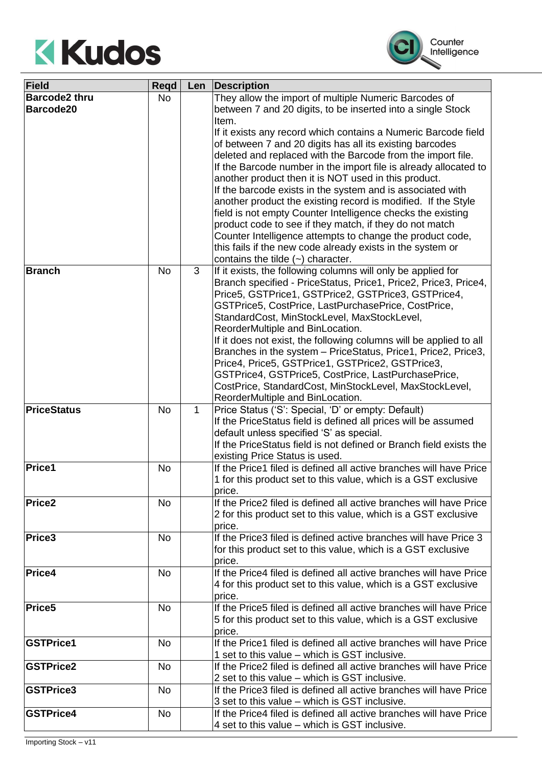



| Field                | Regd      | Len          | Description                                                        |
|----------------------|-----------|--------------|--------------------------------------------------------------------|
| <b>Barcode2 thru</b> | <b>No</b> |              | They allow the import of multiple Numeric Barcodes of              |
| Barcode20            |           |              | between 7 and 20 digits, to be inserted into a single Stock        |
|                      |           |              | Item.                                                              |
|                      |           |              | If it exists any record which contains a Numeric Barcode field     |
|                      |           |              | of between 7 and 20 digits has all its existing barcodes           |
|                      |           |              | deleted and replaced with the Barcode from the import file.        |
|                      |           |              | If the Barcode number in the import file is already allocated to   |
|                      |           |              |                                                                    |
|                      |           |              | another product then it is NOT used in this product.               |
|                      |           |              | If the barcode exists in the system and is associated with         |
|                      |           |              | another product the existing record is modified. If the Style      |
|                      |           |              | field is not empty Counter Intelligence checks the existing        |
|                      |           |              | product code to see if they match, if they do not match            |
|                      |           |              | Counter Intelligence attempts to change the product code,          |
|                      |           |              | this fails if the new code already exists in the system or         |
|                      |           |              | contains the tilde $(\sim)$ character.                             |
| <b>Branch</b>        | <b>No</b> | 3            | If it exists, the following columns will only be applied for       |
|                      |           |              | Branch specified - PriceStatus, Price1, Price2, Price3, Price4,    |
|                      |           |              | Price5, GSTPrice1, GSTPrice2, GSTPrice3, GSTPrice4,                |
|                      |           |              | GSTPrice5, CostPrice, LastPurchasePrice, CostPrice,                |
|                      |           |              | StandardCost, MinStockLevel, MaxStockLevel,                        |
|                      |           |              | ReorderMultiple and BinLocation.                                   |
|                      |           |              | If it does not exist, the following columns will be applied to all |
|                      |           |              | Branches in the system - PriceStatus, Price1, Price2, Price3,      |
|                      |           |              |                                                                    |
|                      |           |              | Price4, Price5, GSTPrice1, GSTPrice2, GSTPrice3,                   |
|                      |           |              | GSTPrice4, GSTPrice5, CostPrice, LastPurchasePrice,                |
|                      |           |              | CostPrice, StandardCost, MinStockLevel, MaxStockLevel,             |
|                      |           |              | ReorderMultiple and BinLocation.                                   |
| <b>PriceStatus</b>   | <b>No</b> | $\mathbf{1}$ | Price Status ('S': Special, 'D' or empty: Default)                 |
|                      |           |              | If the PriceStatus field is defined all prices will be assumed     |
|                      |           |              | default unless specified 'S' as special.                           |
|                      |           |              | If the PriceStatus field is not defined or Branch field exists the |
|                      |           |              | existing Price Status is used.                                     |
| <b>Price1</b>        | <b>No</b> |              | If the Price1 filed is defined all active branches will have Price |
|                      |           |              | 1 for this product set to this value, which is a GST exclusive     |
|                      |           |              | price.                                                             |
| Price <sub>2</sub>   | No        |              | If the Price2 filed is defined all active branches will have Price |
|                      |           |              | 2 for this product set to this value, which is a GST exclusive     |
|                      |           |              | price.                                                             |
| <b>Price3</b>        | <b>No</b> |              | If the Price3 filed is defined active branches will have Price 3   |
|                      |           |              | for this product set to this value, which is a GST exclusive       |
|                      |           |              | price.                                                             |
| Price4               | <b>No</b> |              | If the Price4 filed is defined all active branches will have Price |
|                      |           |              |                                                                    |
|                      |           |              | 4 for this product set to this value, which is a GST exclusive     |
|                      |           |              | price.                                                             |
| Price <sub>5</sub>   | No        |              | If the Price5 filed is defined all active branches will have Price |
|                      |           |              | 5 for this product set to this value, which is a GST exclusive     |
|                      |           |              | price.                                                             |
| <b>GSTPrice1</b>     | <b>No</b> |              | If the Price1 filed is defined all active branches will have Price |
|                      |           |              | 1 set to this value – which is GST inclusive.                      |
| <b>GSTPrice2</b>     | <b>No</b> |              | If the Price2 filed is defined all active branches will have Price |
|                      |           |              | 2 set to this value – which is GST inclusive.                      |
| <b>GSTPrice3</b>     | No        |              | If the Price3 filed is defined all active branches will have Price |
|                      |           |              | 3 set to this value – which is GST inclusive.                      |
| <b>GSTPrice4</b>     | <b>No</b> |              | If the Price4 filed is defined all active branches will have Price |
|                      |           |              | 4 set to this value – which is GST inclusive.                      |
|                      |           |              |                                                                    |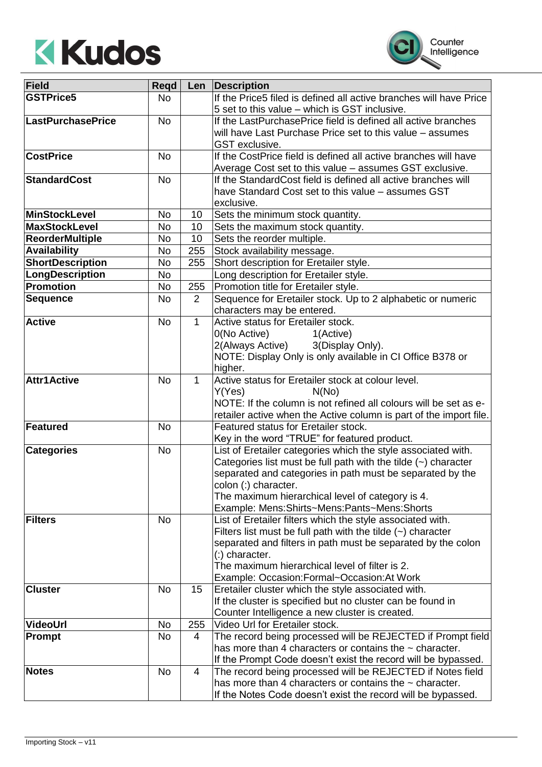



| Field                    | Regd      | Len          | Description                                                                                                                 |
|--------------------------|-----------|--------------|-----------------------------------------------------------------------------------------------------------------------------|
| <b>GSTPrice5</b>         | <b>No</b> |              | If the Price5 filed is defined all active branches will have Price                                                          |
|                          |           |              | 5 set to this value - which is GST inclusive.                                                                               |
| <b>LastPurchasePrice</b> | <b>No</b> |              | If the LastPurchasePrice field is defined all active branches                                                               |
|                          |           |              | will have Last Purchase Price set to this value - assumes                                                                   |
|                          |           |              | GST exclusive.                                                                                                              |
| <b>CostPrice</b>         | <b>No</b> |              | If the CostPrice field is defined all active branches will have                                                             |
|                          |           |              | Average Cost set to this value - assumes GST exclusive.                                                                     |
| <b>StandardCost</b>      | <b>No</b> |              | If the StandardCost field is defined all active branches will                                                               |
|                          |           |              | have Standard Cost set to this value - assumes GST                                                                          |
|                          |           |              | exclusive.                                                                                                                  |
| <b>MinStockLevel</b>     | No        | 10           | Sets the minimum stock quantity.                                                                                            |
| <b>MaxStockLevel</b>     | <b>No</b> | 10           | Sets the maximum stock quantity.                                                                                            |
| <b>ReorderMultiple</b>   | No        | 10           | Sets the reorder multiple.                                                                                                  |
| <b>Availability</b>      | <b>No</b> | 255          | Stock availability message.                                                                                                 |
| <b>ShortDescription</b>  | No        | 255          | Short description for Eretailer style.                                                                                      |
| LongDescription          | No        |              | Long description for Eretailer style.                                                                                       |
| <b>Promotion</b>         | No        | 255          | Promotion title for Eretailer style.                                                                                        |
| <b>Sequence</b>          | <b>No</b> | 2            | Sequence for Eretailer stock. Up to 2 alphabetic or numeric                                                                 |
|                          |           |              | characters may be entered.                                                                                                  |
| <b>Active</b>            | <b>No</b> | $\mathbf 1$  | Active status for Eretailer stock.                                                                                          |
|                          |           |              | 0(No Active)<br>1(Active)                                                                                                   |
|                          |           |              | 2(Always Active)<br>3(Display Only).                                                                                        |
|                          |           |              | NOTE: Display Only is only available in CI Office B378 or<br>higher.                                                        |
| <b>Attr1Active</b>       | <b>No</b> | $\mathbf{1}$ | Active status for Eretailer stock at colour level.                                                                          |
|                          |           |              | Y(Yes)<br>N(No)                                                                                                             |
|                          |           |              | NOTE: If the column is not refined all colours will be set as e-                                                            |
|                          |           |              | retailer active when the Active column is part of the import file.                                                          |
| Featured                 | <b>No</b> |              | Featured status for Eretailer stock.                                                                                        |
|                          |           |              | Key in the word "TRUE" for featured product.                                                                                |
| <b>Categories</b>        | <b>No</b> |              | List of Eretailer categories which the style associated with.                                                               |
|                          |           |              | Categories list must be full path with the tilde $(\sim)$ character                                                         |
|                          |           |              | separated and categories in path must be separated by the                                                                   |
|                          |           |              | colon (:) character.                                                                                                        |
|                          |           |              | The maximum hierarchical level of category is 4.                                                                            |
|                          |           |              | Example: Mens:Shirts~Mens:Pants~Mens:Shorts                                                                                 |
| <b>Filters</b>           | No        |              | List of Eretailer filters which the style associated with.                                                                  |
|                          |           |              | Filters list must be full path with the tilde $(\sim)$ character                                                            |
|                          |           |              | separated and filters in path must be separated by the colon                                                                |
|                          |           |              | (:) character.                                                                                                              |
|                          |           |              | The maximum hierarchical level of filter is 2.                                                                              |
|                          |           |              | Example: Occasion:Formal~Occasion:At Work                                                                                   |
| <b>Cluster</b>           | <b>No</b> | 15           | Eretailer cluster which the style associated with.                                                                          |
|                          |           |              | If the cluster is specified but no cluster can be found in                                                                  |
|                          |           |              | Counter Intelligence a new cluster is created.                                                                              |
| VideoUrl                 | No        | 255          | Video Url for Eretailer stock.                                                                                              |
| Prompt                   | No        | 4            | The record being processed will be REJECTED if Prompt field<br>has more than 4 characters or contains the $\sim$ character. |
|                          |           |              | If the Prompt Code doesn't exist the record will be bypassed.                                                               |
| <b>Notes</b>             | No        | 4            | The record being processed will be REJECTED if Notes field                                                                  |
|                          |           |              | has more than 4 characters or contains the $\sim$ character.                                                                |
|                          |           |              | If the Notes Code doesn't exist the record will be bypassed.                                                                |